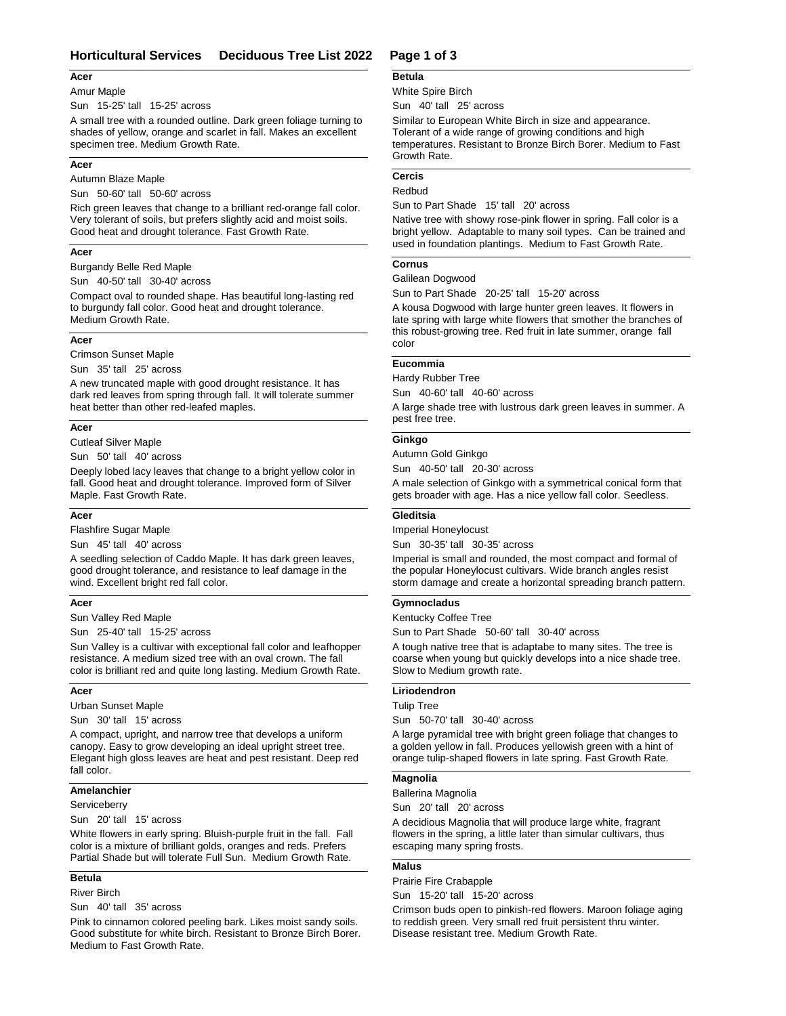# **Horticultural Services Deciduous Tree List 2022 Page 1 of 3**

#### **Acer**

#### Amur Maple

Sun 15-25' tall 15-25' across

A small tree with a rounded outline. Dark green foliage turning to shades of yellow, orange and scarlet in fall. Makes an excellent specimen tree. Medium Growth Rate.

#### **Acer**

Autumn Blaze Maple

Sun 50-60' tall 50-60' across

Rich green leaves that change to a brilliant red-orange fall color. Very tolerant of soils, but prefers slightly acid and moist soils. Good heat and drought tolerance. Fast Growth Rate.

#### **Acer**

Burgandy Belle Red Maple

Sun 40-50' tall 30-40' across

Compact oval to rounded shape. Has beautiful long-lasting red to burgundy fall color. Good heat and drought tolerance. Medium Growth Rate.

## **Acer**

Crimson Sunset Maple

Sun 35' tall 25' across

A new truncated maple with good drought resistance. It has dark red leaves from spring through fall. It will tolerate summer heat better than other red-leafed maples.

## **Acer**

Cutleaf Silver Maple

Sun 50' tall 40' across

Deeply lobed lacy leaves that change to a bright yellow color in fall. Good heat and drought tolerance. Improved form of Silver Maple. Fast Growth Rate.

#### **Acer**

Flashfire Sugar Maple

Sun 45' tall 40' across

A seedling selection of Caddo Maple. It has dark green leaves, good drought tolerance, and resistance to leaf damage in the wind. Excellent bright red fall color.

## **Acer**

Sun Valley Red Maple

Sun 25-40' tall 15-25' across

Sun Valley is a cultivar with exceptional fall color and leafhopper resistance. A medium sized tree with an oval crown. The fall color is brilliant red and quite long lasting. Medium Growth Rate.

## **Acer**

Urban Sunset Maple

Sun 30' tall 15' across

A compact, upright, and narrow tree that develops a uniform canopy. Easy to grow developing an ideal upright street tree. Elegant high gloss leaves are heat and pest resistant. Deep red fall color.

# **Amelanchier**

**Serviceberry** 

Sun 20' tall 15' across

White flowers in early spring. Bluish-purple fruit in the fall. Fall color is a mixture of brilliant golds, oranges and reds. Prefers Partial Shade but will tolerate Full Sun. Medium Growth Rate.

## **Betula**

River Birch

Sun 40' tall 35' across

Pink to cinnamon colored peeling bark. Likes moist sandy soils. Good substitute for white birch. Resistant to Bronze Birch Borer. Medium to Fast Growth Rate.

#### **Betula**

White Spire Birch

Sun 40' tall 25' across

Similar to European White Birch in size and appearance. Tolerant of a wide range of growing conditions and high temperatures. Resistant to Bronze Birch Borer. Medium to Fast Growth Rate.

# **Cercis**

## Redbud

Sun to Part Shade 15' tall 20' across

Native tree with showy rose-pink flower in spring. Fall color is a bright yellow. Adaptable to many soil types. Can be trained and used in foundation plantings. Medium to Fast Growth Rate.

#### **Cornus**

Galilean Dogwood

Sun to Part Shade 20-25' tall 15-20' across

A kousa Dogwood with large hunter green leaves. It flowers in late spring with large white flowers that smother the branches of this robust-growing tree. Red fruit in late summer, orange fall color

# **Eucommia**

Hardy Rubber Tree

Sun 40-60' tall 40-60' across

A large shade tree with lustrous dark green leaves in summer. A pest free tree.

#### **Ginkgo**

Autumn Gold Ginkgo

Sun 40-50' tall 20-30' across

A male selection of Ginkgo with a symmetrical conical form that gets broader with age. Has a nice yellow fall color. Seedless.

#### **Gleditsia**

Imperial Honeylocust

Sun 30-35' tall 30-35' across

Imperial is small and rounded, the most compact and formal of the popular Honeylocust cultivars. Wide branch angles resist storm damage and create a horizontal spreading branch pattern.

## **Gymnocladus**

Kentucky Coffee Tree

Sun to Part Shade 50-60' tall 30-40' across

A tough native tree that is adaptabe to many sites. The tree is coarse when young but quickly develops into a nice shade tree. Slow to Medium growth rate.

# **Liriodendron**

Tulip Tree

Sun 50-70' tall 30-40' across

A large pyramidal tree with bright green foliage that changes to a golden yellow in fall. Produces yellowish green with a hint of orange tulip-shaped flowers in late spring. Fast Growth Rate.

#### **Magnolia**

Ballerina Magnolia

Sun 20' tall 20' across

A decidious Magnolia that will produce large white, fragrant flowers in the spring, a little later than simular cultivars, thus escaping many spring frosts.

#### **Malus**

Prairie Fire Crabapple

Sun 15-20' tall 15-20' across

Crimson buds open to pinkish-red flowers. Maroon foliage aging to reddish green. Very small red fruit persistent thru winter. Disease resistant tree. Medium Growth Rate.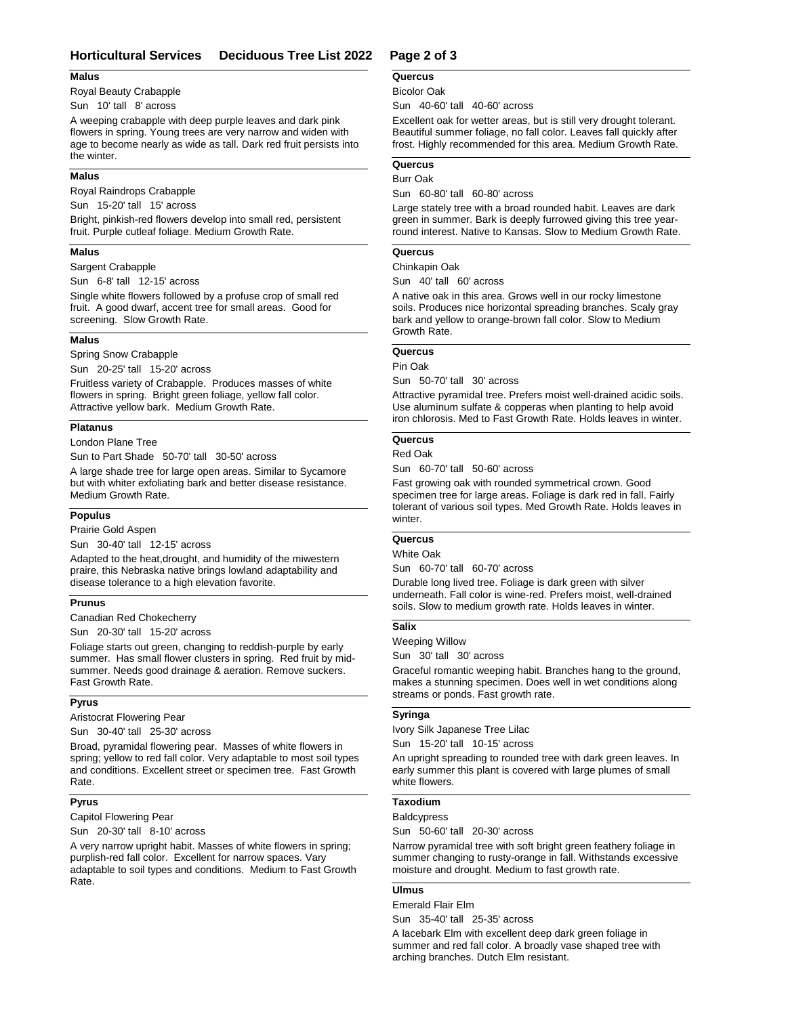# **Horticultural Services Deciduous Tree List 2022 Page 2 of 3**

#### **Malus**

Royal Beauty Crabapple

Sun 10' tall 8' across

A weeping crabapple with deep purple leaves and dark pink flowers in spring. Young trees are very narrow and widen with age to become nearly as wide as tall. Dark red fruit persists into the winter.

#### **Malus**

Royal Raindrops Crabapple

Sun 15-20' tall 15' across

Bright, pinkish-red flowers develop into small red, persistent fruit. Purple cutleaf foliage. Medium Growth Rate.

## **Malus**

Sargent Crabapple Sun 6-8' tall 12-15' across

Single white flowers followed by a profuse crop of small red fruit. A good dwarf, accent tree for small areas. Good for screening. Slow Growth Rate.

#### **Malus**

## Spring Snow Crabapple

Sun 20-25' tall 15-20' across

Fruitless variety of Crabapple. Produces masses of white flowers in spring. Bright green foliage, yellow fall color. Attractive yellow bark. Medium Growth Rate.

#### **Platanus**

#### London Plane Tree

Sun to Part Shade 50-70' tall 30-50' across

A large shade tree for large open areas. Similar to Sycamore but with whiter exfoliating bark and better disease resistance. Medium Growth Rate.

#### **Populus**

Prairie Gold Aspen

Sun 30-40' tall 12-15' across

Adapted to the heat,drought, and humidity of the miwestern praire, this Nebraska native brings lowland adaptability and disease tolerance to a high elevation favorite.

## **Prunus**

Canadian Red Chokecherry

Sun 20-30' tall 15-20' across

Foliage starts out green, changing to reddish-purple by early summer. Has small flower clusters in spring. Red fruit by midsummer. Needs good drainage & aeration. Remove suckers. Fast Growth Rate.

## **Pyrus**

Aristocrat Flowering Pear

Sun 30-40' tall 25-30' across

Broad, pyramidal flowering pear. Masses of white flowers in spring; yellow to red fall color. Very adaptable to most soil types and conditions. Excellent street or specimen tree. Fast Growth Rate.

# **Pyrus**

Capitol Flowering Pear

Sun 20-30' tall 8-10' across

A very narrow upright habit. Masses of white flowers in spring; purplish-red fall color. Excellent for narrow spaces. Vary adaptable to soil types and conditions. Medium to Fast Growth Rate.

## **Quercus**

#### Bicolor Oak

Sun 40-60' tall 40-60' across

Excellent oak for wetter areas, but is still very drought tolerant. Beautiful summer foliage, no fall color. Leaves fall quickly after frost. Highly recommended for this area. Medium Growth Rate.

## **Quercus**

#### Burr Oak

Sun 60-80' tall 60-80' across

Large stately tree with a broad rounded habit. Leaves are dark green in summer. Bark is deeply furrowed giving this tree yearround interest. Native to Kansas. Slow to Medium Growth Rate.

#### **Quercus**

#### Chinkapin Oak

Sun 40' tall 60' across

A native oak in this area. Grows well in our rocky limestone soils. Produces nice horizontal spreading branches. Scaly gray bark and yellow to orange-brown fall color. Slow to Medium Growth Rate.

#### **Quercus**

Pin Oak

Sun 50-70' tall 30' across

Attractive pyramidal tree. Prefers moist well-drained acidic soils. Use aluminum sulfate & copperas when planting to help avoid iron chlorosis. Med to Fast Growth Rate. Holds leaves in winter.

#### **Quercus**

Red Oak

Sun 60-70' tall 50-60' across

Fast growing oak with rounded symmetrical crown. Good specimen tree for large areas. Foliage is dark red in fall. Fairly tolerant of various soil types. Med Growth Rate. Holds leaves in winter.

# **Quercus**

White Oak

Sun 60-70' tall 60-70' across

Durable long lived tree. Foliage is dark green with silver underneath. Fall color is wine-red. Prefers moist, well-drained soils. Slow to medium growth rate. Holds leaves in winter.

# **Salix**

Weeping Willow

Sun 30' tall 30' across

Graceful romantic weeping habit. Branches hang to the ground, makes a stunning specimen. Does well in wet conditions along streams or ponds. Fast growth rate.

#### **Syringa**

Ivory Silk Japanese Tree Lilac Sun 15-20' tall 10-15' across

An upright spreading to rounded tree with dark green leaves. In early summer this plant is covered with large plumes of small white flowers.

#### **Taxodium**

#### **Baldcypress**

Sun 50-60' tall 20-30' across

Narrow pyramidal tree with soft bright green feathery foliage in summer changing to rusty-orange in fall. Withstands excessive moisture and drought. Medium to fast growth rate.

# **Ulmus**

Emerald Flair Elm

Sun 35-40' tall 25-35' across

A lacebark Elm with excellent deep dark green foliage in summer and red fall color. A broadly vase shaped tree with arching branches. Dutch Elm resistant.